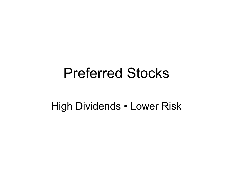## Preferred Stocks

#### High Dividends • Lower Risk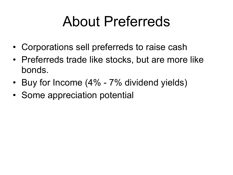## About Preferreds

- Corporations sell preferreds to raise cash
- Preferreds trade like stocks, but are more like bonds.
- Buy for Income (4% 7% dividend yields)
- Some appreciation potential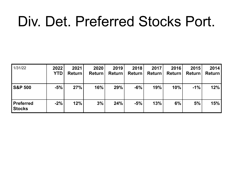## Div. Det. Preferred Stocks Port.

| 1/31/22                           | 2022<br><b>YTD</b> | 2021<br><b>Return</b> | 2020<br><b>Return</b> | 2019<br><b>Return</b> | 2018<br><b>Return</b> | 2017<br><b>Return</b> | 2016<br><b>Return</b> | 2015<br><b>Return</b> | 2014<br>Return |
|-----------------------------------|--------------------|-----------------------|-----------------------|-----------------------|-----------------------|-----------------------|-----------------------|-----------------------|----------------|
| <b>S&amp;P 500</b>                | $-5%$              | 27%                   | 16%                   | 29%                   | $-6%$                 | 19%                   | 10%                   | $-1\%$                | 12%            |
| <b>Preferred</b><br><b>Stocks</b> | $-2%$              | 12%                   | 3%                    | 24%                   | $-5%$                 | 13%                   | 6%                    | 5%                    | 15%            |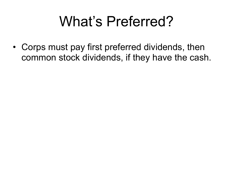## What's Preferred?

• Corps must pay first preferred dividends, then common stock dividends, if they have the cash.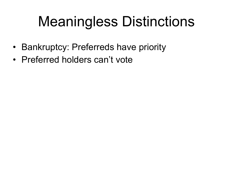# Meaningless Distinctions

- Bankruptcy: Preferreds have priority
- Preferred holders can't vote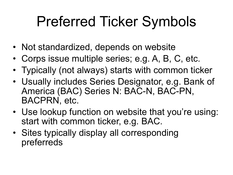## Preferred Ticker Symbols

- Not standardized, depends on website
- Corps issue multiple series; e.g. A, B, C, etc.
- Typically (not always) starts with common ticker
- Usually includes Series Designator, e.g. Bank of America (BAC) Series N: BAC-N, BAC-PN, BACPRN, etc.
- Use lookup function on website that you're using: start with common ticker, e.g. BAC.
- Sites typically display all corresponding preferreds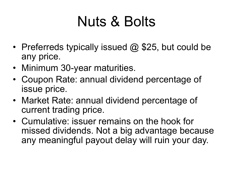## Nuts & Bolts

- Preferreds typically issued  $@$  \$25, but could be any price.
- Minimum 30-year maturities.
- Coupon Rate: annual dividend percentage of issue price.
- Market Rate: annual dividend percentage of current trading price.
- Cumulative: issuer remains on the hook for missed dividends. Not a big advantage because any meaningful payout delay will ruin your day.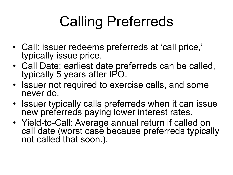# Calling Preferreds

- Call: issuer redeems preferreds at 'call price,' typically issue price.
- Call Date: earliest date preferreds can be called, typically 5 years after IPO.
- Issuer not required to exercise calls, and some never do.
- Issuer typically calls preferreds when it can issue new preferreds paying lower interest rates.
- Yield-to-Call: Average annual return if called on call date (worst case because preferreds typically not called that soon.).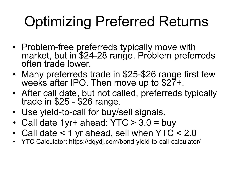# Optimizing Preferred Returns

- Problem-free preferreds typically move with market, but in \$24-28 range. Problem preferreds often trade lower.
- Many preferreds trade in \$25-\$26 range first few weeks after IPO. Then move up to \$27+.
- After call date, but not called, preferreds typically trade in \$25 - \$26 range.
- Use yield-to-call for buy/sell signals.
- Call date 1yr+ ahead:  $YTC > 3.0 = buy$
- Call date < 1 yr ahead, sell when YTC < 2.0
- YTC Calculator: https://dqydj.com/bond-yield-to-call-calculator/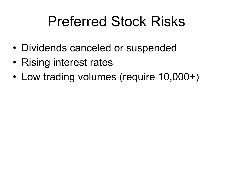## Preferred Stock Risks

- Dividends canceled or suspended
- Rising interest rates
- Low trading volumes (require 10,000+)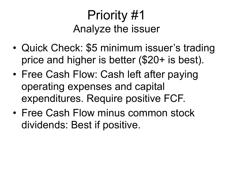## Priority #1 Analyze the issuer

- Quick Check: \$5 minimum issuer's trading price and higher is better (\$20+ is best).
- Free Cash Flow: Cash left after paying operating expenses and capital expenditures. Require positive FCF.
- Free Cash Flow minus common stock dividends: Best if positive.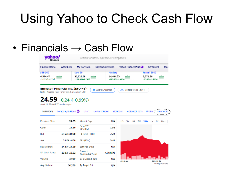## Using Yahoo to Check Cash Flow

#### • Financials  $\rightarrow$  Cash Flow

| Search for news, symbols or companies                                                                                                                     |                     |                                |                                             |                                                                   |                               |
|-----------------------------------------------------------------------------------------------------------------------------------------------------------|---------------------|--------------------------------|---------------------------------------------|-------------------------------------------------------------------|-------------------------------|
| Finance Home                                                                                                                                              | <b>Watchlists</b>   | My Portfolio                   | <b>Cryptocumencies</b>                      | Yahoo Financa Plus @                                              | <b>Screeners</b><br>Mar       |
| <b>S&amp;P 500</b>                                                                                                                                        |                     | Dow 30                         | Nasdag                                      |                                                                   | Russell 2000                  |
| 4,574,47<br>(52.93 (+1.17%)                                                                                                                               |                     | 35,725,58<br>(262, 80)(.0.745) | 14,404.33<br>(209.80(1.405)                 |                                                                   | 2.071.36<br>$-25,99(10,275)$  |
| Ellington Financial Inc. (EFC-PB)<br>NYSE - Nasdag Real Time Price: Currency in USD<br>$24.59 + 0.24$ (+0.99%)<br>Aund 11:29AM FST Marketinger<br>summary | Company Uutbook (D) | Chart                          | of the Addition watchlist.<br>Conversations | SB, Malticles them: 2NV T<br>Historical Data<br><b>Statistics</b> | Financials<br>Profile.        |
| Previous Class                                                                                                                                            | 24.35               | Market Cap                     | NM.                                         | 5b<br><b>CM</b><br>10<br>1M                                       | - 1 V<br><b>YTD</b><br>SY Max |
| Open                                                                                                                                                      | 24.50               | Deta (EY)<br>Monthlyl          | 1.93                                        |                                                                   |                               |
| <b>Bid</b>                                                                                                                                                | 24.22 × 10.00       | <b>PE Ratio (TTM)</b>          | 4,22                                        |                                                                   |                               |
| ولحق                                                                                                                                                      | 24101800            | <b>FPS (TTM)</b>               | 5.46                                        |                                                                   |                               |
| DOM: KING                                                                                                                                                 | 34.59 - 24.58       | ESMITHS USE                    | HM                                          |                                                                   |                               |
| 52 Week Range                                                                                                                                             | 23.92 - 26.82       | Forward<br>Dividend & Yield    | <b>N/A (N/A)</b>                            |                                                                   |                               |
| Volume                                                                                                                                                    | 1.707               | Ex Dividend Date               | N.W                                         | Jan 3, 22                                                         | 18931.22                      |
| Avg. Volume                                                                                                                                               | 30.239              | 1y Target Est                  | NМ                                          |                                                                   | Trade prices are              |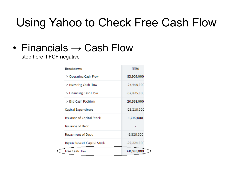#### Using Yahoo to Check Free Cash Flow

#### • Financials  $\rightarrow$  Cash Flow

stop here if FCF negative

| <b>Breakdown</b>                 | TTM           |
|----------------------------------|---------------|
| <b>Derating Cash Flow</b>        | 83,909,000    |
| > Investing Cash Flow            | $-24,948,000$ |
| > Financing Cash Flow            | -52,825,000   |
| > End Cash Position              | 20,568,000    |
| Capital Expenditure              | $-23,216,000$ |
| <b>Issuance of Capital Stock</b> | 1,749,000     |
| <b>Issuance of Debt</b>          |               |
| Repayment of Debt                | $-5.326.000$  |
| Repurchase of Capital Stock      | $-29,224,000$ |
| Free Cash Flow                   | 60,693,000    |
|                                  |               |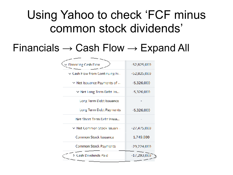#### Using Yahoo to check 'FCF minus common stock dividends'

#### Financials  $\rightarrow$  Cash Flow  $\rightarrow$  Expand All

| <b>Financing Cash Flow</b>                   | $-52,825,000$ |
|----------------------------------------------|---------------|
| $\vee$ Cash Flow from Continuing Fi $\ldots$ | -52,825,000   |
| $\vee$ Net Issuance Payments of              | $-5,326,000$  |
| Met Long Term Debt Iss                       | $-5,326,000$  |
| Long Term Debt Issuance                      |               |
| Long Term Debt Payments                      | $-5,326,000$  |
| Net Short Term Debt Issua                    |               |
| v Net Common Stock Issuan                    | $-27,475,000$ |
| Common Stock Issuance                        | 1,749,000     |
| Common Stock Payments                        | $-29,224,000$ |
| > Cash Dividends Paid                        | $-17,293,000$ |
|                                              |               |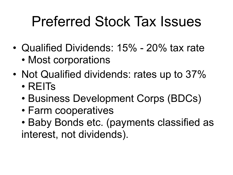## Preferred Stock Tax Issues

- Qualified Dividends: 15% 20% tax rate
	- Most corporations
- Not Qualified dividends: rates up to 37% • REITs
	- Business Development Corps (BDCs)
	- Farm cooperatives
	- Baby Bonds etc. (payments classified as interest, not dividends).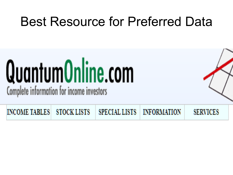## Best Resource for Preferred Data

# QuantumOnline.com Complete information for income investors